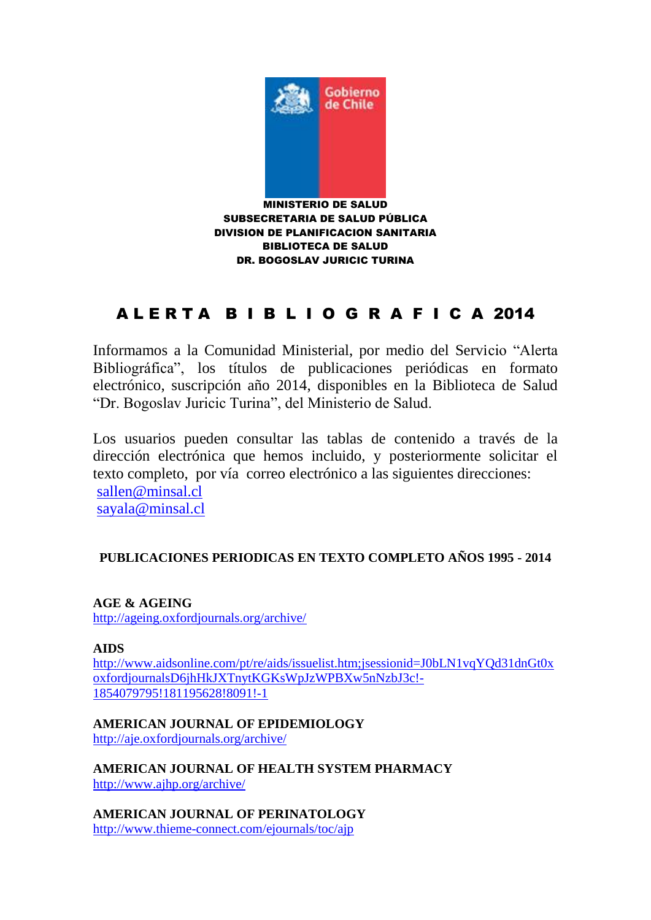

# A L E R T A B I B L I O G R A F I C A 2014

Informamos a la Comunidad Ministerial, por medio del Servicio "Alerta Bibliográfica", los títulos de publicaciones periódicas en formato electrónico, suscripción año 2014, disponibles en la Biblioteca de Salud "Dr. Bogoslav Juricic Turina", del Ministerio de Salud.

Los usuarios pueden consultar las tablas de contenido a través de la dirección electrónica que hemos incluido, y posteriormente solicitar el texto completo, por vía correo electrónico a las siguientes direcciones: [sallen@minsal.cl](mailto:sallen@minsal.cl) [sayala@minsal.cl](mailto:sayala@minsal.cl)

# **PUBLICACIONES PERIODICAS EN TEXTO COMPLETO AÑOS 1995 - 2014**

**AGE & AGEING** <http://ageing.oxfordjournals.org/archive/>

**AIDS**

[http://www.aidsonline.com/pt/re/aids/issuelist.htm;jsessionid=J0bLN1vqYQd31dnGt0x](http://www.aidsonline.com/pt/re/aids/issuelist.htm;jsessionid=J0bLN1vqYQd31dnGt0xoxfordjournalsD6jhHkJXTnytKGKsWpJzWPBXw5nNzbJ3c!-1854079795!181195628!8091!-1) [oxfordjournalsD6jhHkJXTnytKGKsWpJzWPBXw5nNzbJ3c!-](http://www.aidsonline.com/pt/re/aids/issuelist.htm;jsessionid=J0bLN1vqYQd31dnGt0xoxfordjournalsD6jhHkJXTnytKGKsWpJzWPBXw5nNzbJ3c!-1854079795!181195628!8091!-1) [1854079795!181195628!8091!-1](http://www.aidsonline.com/pt/re/aids/issuelist.htm;jsessionid=J0bLN1vqYQd31dnGt0xoxfordjournalsD6jhHkJXTnytKGKsWpJzWPBXw5nNzbJ3c!-1854079795!181195628!8091!-1)

**AMERICAN JOURNAL OF EPIDEMIOLOGY**

<http://aje.oxfordjournals.org/archive/>

**AMERICAN JOURNAL OF HEALTH SYSTEM PHARMACY** <http://www.ajhp.org/archive/>

**AMERICAN JOURNAL OF PERINATOLOGY** <http://www.thieme-connect.com/ejournals/toc/ajp>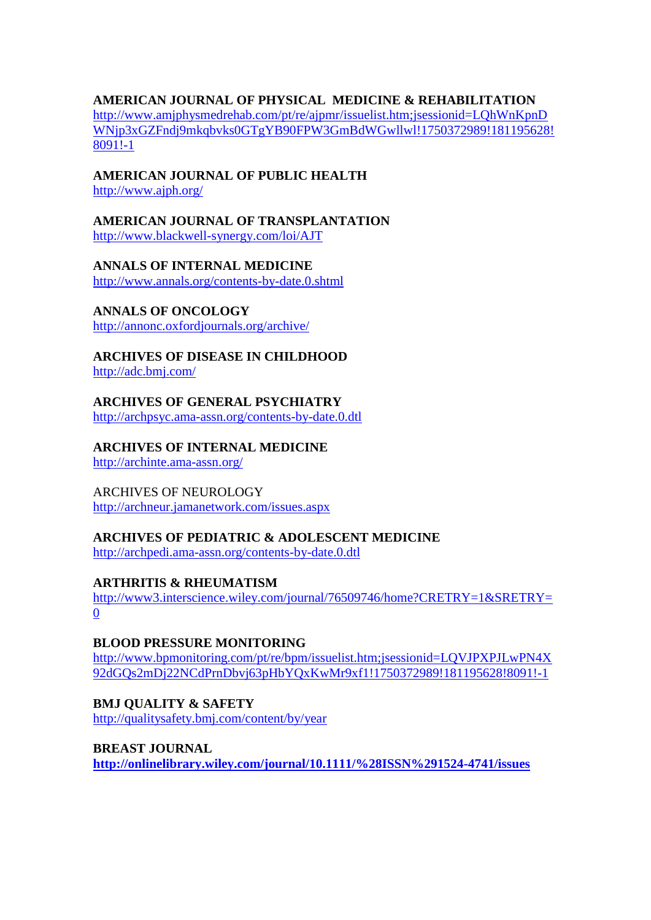#### **AMERICAN JOURNAL OF PHYSICAL MEDICINE & REHABILITATION**

[http://www.amjphysmedrehab.com/pt/re/ajpmr/issuelist.htm;jsessionid=LQhWnKpnD](http://www.amjphysmedrehab.com/pt/re/ajpmr/issuelist.htm;jsessionid=LQhWnKpnDWNjp3xGZFndj9mkqbvks0GTgYB90FPW3GmBdWGwllwl!1750372989!181195628!8091!-1) [WNjp3xGZFndj9mkqbvks0GTgYB90FPW3GmBdWGwllwl!1750372989!181195628!](http://www.amjphysmedrehab.com/pt/re/ajpmr/issuelist.htm;jsessionid=LQhWnKpnDWNjp3xGZFndj9mkqbvks0GTgYB90FPW3GmBdWGwllwl!1750372989!181195628!8091!-1) [8091!-1](http://www.amjphysmedrehab.com/pt/re/ajpmr/issuelist.htm;jsessionid=LQhWnKpnDWNjp3xGZFndj9mkqbvks0GTgYB90FPW3GmBdWGwllwl!1750372989!181195628!8091!-1)

# **AMERICAN JOURNAL OF PUBLIC HEALTH**

<http://www.ajph.org/>

**AMERICAN JOURNAL OF TRANSPLANTATION**

<http://www.blackwell-synergy.com/loi/AJT>

## **ANNALS OF INTERNAL MEDICINE**

<http://www.annals.org/contents-by-date.0.shtml>

## **ANNALS OF ONCOLOGY**

<http://annonc.oxfordjournals.org/archive/>

**ARCHIVES OF DISEASE IN CHILDHOOD**

<http://adc.bmj.com/>

# **ARCHIVES OF GENERAL PSYCHIATRY**

<http://archpsyc.ama-assn.org/contents-by-date.0.dtl>

# **ARCHIVES OF INTERNAL MEDICINE**

<http://archinte.ama-assn.org/>

# ARCHIVES OF NEUROLOGY

<http://archneur.jamanetwork.com/issues.aspx>

# **ARCHIVES OF PEDIATRIC & ADOLESCENT MEDICINE**

<http://archpedi.ama-assn.org/contents-by-date.0.dtl>

#### **ARTHRITIS & RHEUMATISM**

[http://www3.interscience.wiley.com/journal/76509746/home?CRETRY=1&SRETRY=](http://www3.interscience.wiley.com/journal/76509746/home?CRETRY=1&SRETRY=0) [0](http://www3.interscience.wiley.com/journal/76509746/home?CRETRY=1&SRETRY=0)

# **BLOOD PRESSURE MONITORING**

[http://www.bpmonitoring.com/pt/re/bpm/issuelist.htm;jsessionid=LQVJPXPJLwPN4X](http://www.bpmonitoring.com/pt/re/bpm/issuelist.htm;jsessionid=LQVJPXPJLwPN4X92dGQs2mDj22NCdPrnDbvj63pHbYQxKwMr9xf1!1750372989!181195628!8091!-1) [92dGQs2mDj22NCdPrnDbvj63pHbYQxKwMr9xf1!1750372989!181195628!8091!-1](http://www.bpmonitoring.com/pt/re/bpm/issuelist.htm;jsessionid=LQVJPXPJLwPN4X92dGQs2mDj22NCdPrnDbvj63pHbYQxKwMr9xf1!1750372989!181195628!8091!-1)

# **BMJ QUALITY & SAFETY**

<http://qualitysafety.bmj.com/content/by/year>

#### **BREAST JOURNAL**

**<http://onlinelibrary.wiley.com/journal/10.1111/%28ISSN%291524-4741/issues>**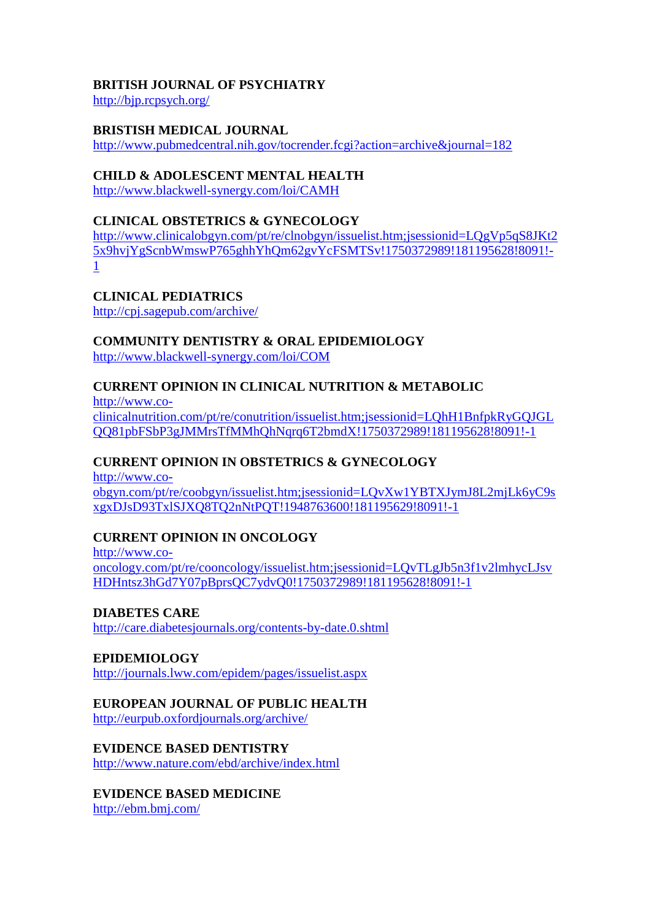# **BRITISH JOURNAL OF PSYCHIATRY**

<http://bjp.rcpsych.org/>

## **BRISTISH MEDICAL JOURNAL**

<http://www.pubmedcentral.nih.gov/tocrender.fcgi?action=archive&journal=182>

## **CHILD & ADOLESCENT MENTAL HEALTH**

<http://www.blackwell-synergy.com/loi/CAMH>

# **CLINICAL OBSTETRICS & GYNECOLOGY**

[http://www.clinicalobgyn.com/pt/re/clnobgyn/issuelist.htm;jsessionid=LQgVp5qS8JKt2](http://www.clinicalobgyn.com/pt/re/clnobgyn/issuelist.htm;jsessionid=LQgVp5qS8JKt25x9hvjYgScnbWmswP765ghhYhQm62gvYcFSMTSv!1750372989!181195628!8091!-1) [5x9hvjYgScnbWmswP765ghhYhQm62gvYcFSMTSv!1750372989!181195628!8091!-](http://www.clinicalobgyn.com/pt/re/clnobgyn/issuelist.htm;jsessionid=LQgVp5qS8JKt25x9hvjYgScnbWmswP765ghhYhQm62gvYcFSMTSv!1750372989!181195628!8091!-1) [1](http://www.clinicalobgyn.com/pt/re/clnobgyn/issuelist.htm;jsessionid=LQgVp5qS8JKt25x9hvjYgScnbWmswP765ghhYhQm62gvYcFSMTSv!1750372989!181195628!8091!-1)

**CLINICAL PEDIATRICS**

<http://cpj.sagepub.com/archive/>

# **COMMUNITY DENTISTRY & ORAL EPIDEMIOLOGY**

<http://www.blackwell-synergy.com/loi/COM>

## **CURRENT OPINION IN CLINICAL NUTRITION & METABOLIC**

[http://www.co](http://www.co-clinicalnutrition.com/pt/re/conutrition/issuelist.htm;jsessionid=LQhH1BnfpkRyGQJGLQQ81pbFSbP3gJMMrsTfMMhQhNqrq6T2bmdX!1750372989!181195628!8091!-1)[clinicalnutrition.com/pt/re/conutrition/issuelist.htm;jsessionid=LQhH1BnfpkRyGQJGL](http://www.co-clinicalnutrition.com/pt/re/conutrition/issuelist.htm;jsessionid=LQhH1BnfpkRyGQJGLQQ81pbFSbP3gJMMrsTfMMhQhNqrq6T2bmdX!1750372989!181195628!8091!-1) [QQ81pbFSbP3gJMMrsTfMMhQhNqrq6T2bmdX!1750372989!181195628!8091!-1](http://www.co-clinicalnutrition.com/pt/re/conutrition/issuelist.htm;jsessionid=LQhH1BnfpkRyGQJGLQQ81pbFSbP3gJMMrsTfMMhQhNqrq6T2bmdX!1750372989!181195628!8091!-1)

# **CURRENT OPINION IN OBSTETRICS & GYNECOLOGY**

[http://www.co](http://www.co-obgyn.com/pt/re/coobgyn/issuelist.htm;jsessionid=LQvXw1YBTXJymJ8L2mjLk6yC9sxgxDJsD93TxlSJXQ8TQ2nNtPQT!1948763600!181195629!8091!-1)[obgyn.com/pt/re/coobgyn/issuelist.htm;jsessionid=LQvXw1YBTXJymJ8L2mjLk6yC9s](http://www.co-obgyn.com/pt/re/coobgyn/issuelist.htm;jsessionid=LQvXw1YBTXJymJ8L2mjLk6yC9sxgxDJsD93TxlSJXQ8TQ2nNtPQT!1948763600!181195629!8091!-1) [xgxDJsD93TxlSJXQ8TQ2nNtPQT!1948763600!181195629!8091!-1](http://www.co-obgyn.com/pt/re/coobgyn/issuelist.htm;jsessionid=LQvXw1YBTXJymJ8L2mjLk6yC9sxgxDJsD93TxlSJXQ8TQ2nNtPQT!1948763600!181195629!8091!-1)

# **CURRENT OPINION IN ONCOLOGY**

[http://www.co](http://www.co-oncology.com/pt/re/cooncology/issuelist.htm;jsessionid=LQvTLgJb5n3f1v2lmhycLJsvHDHntsz3hGd7Y07pBprsQC7ydvQ0!1750372989!181195628!8091!-1)[oncology.com/pt/re/cooncology/issuelist.htm;jsessionid=LQvTLgJb5n3f1v2lmhycLJsv](http://www.co-oncology.com/pt/re/cooncology/issuelist.htm;jsessionid=LQvTLgJb5n3f1v2lmhycLJsvHDHntsz3hGd7Y07pBprsQC7ydvQ0!1750372989!181195628!8091!-1) [HDHntsz3hGd7Y07pBprsQC7ydvQ0!1750372989!181195628!8091!-1](http://www.co-oncology.com/pt/re/cooncology/issuelist.htm;jsessionid=LQvTLgJb5n3f1v2lmhycLJsvHDHntsz3hGd7Y07pBprsQC7ydvQ0!1750372989!181195628!8091!-1)

**DIABETES CARE** <http://care.diabetesjournals.org/contents-by-date.0.shtml>

**EPIDEMIOLOGY** <http://journals.lww.com/epidem/pages/issuelist.aspx>

# **EUROPEAN JOURNAL OF PUBLIC HEALTH**

<http://eurpub.oxfordjournals.org/archive/>

# **EVIDENCE BASED DENTISTRY**

<http://www.nature.com/ebd/archive/index.html>

# **EVIDENCE BASED MEDICINE**

<http://ebm.bmj.com/>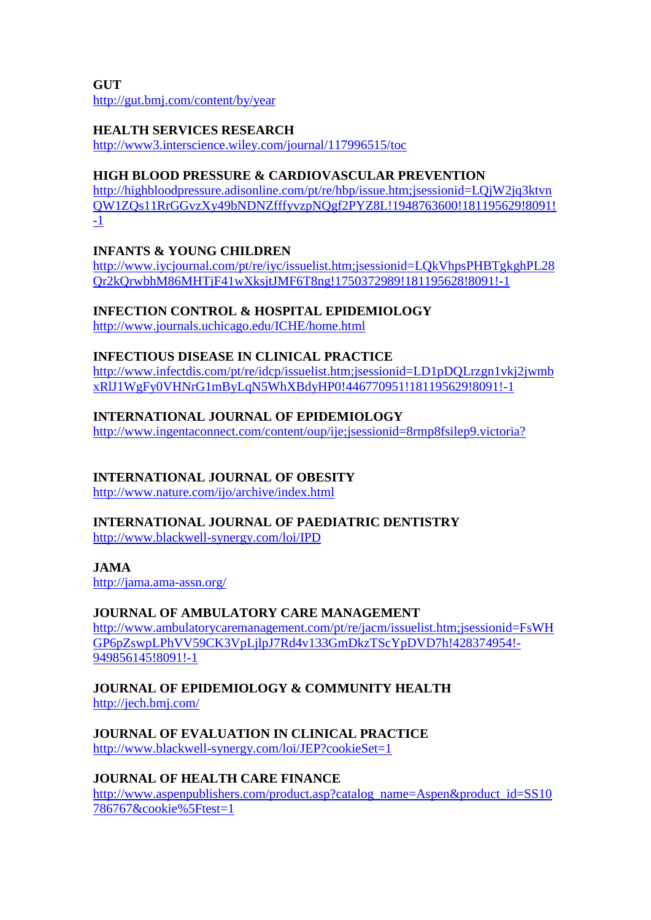**GUT** <http://gut.bmj.com/content/by/year>

## **HEALTH SERVICES RESEARCH**

<http://www3.interscience.wiley.com/journal/117996515/toc>

## **HIGH BLOOD PRESSURE & CARDIOVASCULAR PREVENTION**

[http://highbloodpressure.adisonline.com/pt/re/hbp/issue.htm;jsessionid=LQjW2jq3ktvn](http://highbloodpressure.adisonline.com/pt/re/hbp/issue.htm;jsessionid=LQjW2jq3ktvnQW1ZQs11RrGGvzXy49bNDNZfffyvzpNQgf2PYZ8L!1948763600!181195629!8091!-1) [QW1ZQs11RrGGvzXy49bNDNZfffyvzpNQgf2PYZ8L!1948763600!181195629!8091!](http://highbloodpressure.adisonline.com/pt/re/hbp/issue.htm;jsessionid=LQjW2jq3ktvnQW1ZQs11RrGGvzXy49bNDNZfffyvzpNQgf2PYZ8L!1948763600!181195629!8091!-1) [-1](http://highbloodpressure.adisonline.com/pt/re/hbp/issue.htm;jsessionid=LQjW2jq3ktvnQW1ZQs11RrGGvzXy49bNDNZfffyvzpNQgf2PYZ8L!1948763600!181195629!8091!-1)

## **INFANTS & YOUNG CHILDREN**

[http://www.iycjournal.com/pt/re/iyc/issuelist.htm;jsessionid=LQkVhpsPHBTgkghPL28](http://www.iycjournal.com/pt/re/iyc/issuelist.htm;jsessionid=LQkVhpsPHBTgkghPL28Qr2kQrwbhM86MHTjF41wXksjtJMF6T8ng!1750372989!181195628!8091!-1) [Qr2kQrwbhM86MHTjF41wXksjtJMF6T8ng!1750372989!181195628!8091!-1](http://www.iycjournal.com/pt/re/iyc/issuelist.htm;jsessionid=LQkVhpsPHBTgkghPL28Qr2kQrwbhM86MHTjF41wXksjtJMF6T8ng!1750372989!181195628!8091!-1)

## **INFECTION CONTROL & HOSPITAL EPIDEMIOLOGY**

<http://www.journals.uchicago.edu/ICHE/home.html>

# **INFECTIOUS DISEASE IN CLINICAL PRACTICE**

[http://www.infectdis.com/pt/re/idcp/issuelist.htm;jsessionid=LD1pDQLrzgn1vkj2jwmb](http://www.infectdis.com/pt/re/idcp/issuelist.htm;jsessionid=LD1pDQLrzgn1vkj2jwmbxRlJ1WgFy0VHNrG1mByLqN5WhXBdyHP0!446770951!181195629!8091!-1) [xRlJ1WgFy0VHNrG1mByLqN5WhXBdyHP0!446770951!181195629!8091!-1](http://www.infectdis.com/pt/re/idcp/issuelist.htm;jsessionid=LD1pDQLrzgn1vkj2jwmbxRlJ1WgFy0VHNrG1mByLqN5WhXBdyHP0!446770951!181195629!8091!-1)

# **INTERNATIONAL JOURNAL OF EPIDEMIOLOGY**

[http://www.ingentaconnect.com/content/oup/ije;jsessionid=8rmp8fsilep9.victoria?](http://www.ingentaconnect.com/content/oup/ije;jsessionid=8rmp8fsilep9.victoria)

# **INTERNATIONAL JOURNAL OF OBESITY**

<http://www.nature.com/ijo/archive/index.html>

# **INTERNATIONAL JOURNAL OF PAEDIATRIC DENTISTRY**

<http://www.blackwell-synergy.com/loi/IPD>

**JAMA**

<http://jama.ama-assn.org/>

# **JOURNAL OF AMBULATORY CARE MANAGEMENT**

[http://www.ambulatorycaremanagement.com/pt/re/jacm/issuelist.htm;jsessionid=FsWH](http://www.ambulatorycaremanagement.com/pt/re/jacm/issuelist.htm;jsessionid=FsWHGP6pZswpLPhVV59CK3VpLjlpJ7Rd4v133GmDkzTScYpDVD7h!428374954!-949856145!8091!-1) [GP6pZswpLPhVV59CK3VpLjlpJ7Rd4v133GmDkzTScYpDVD7h!428374954!-](http://www.ambulatorycaremanagement.com/pt/re/jacm/issuelist.htm;jsessionid=FsWHGP6pZswpLPhVV59CK3VpLjlpJ7Rd4v133GmDkzTScYpDVD7h!428374954!-949856145!8091!-1) [949856145!8091!-1](http://www.ambulatorycaremanagement.com/pt/re/jacm/issuelist.htm;jsessionid=FsWHGP6pZswpLPhVV59CK3VpLjlpJ7Rd4v133GmDkzTScYpDVD7h!428374954!-949856145!8091!-1)

## **JOURNAL OF EPIDEMIOLOGY & COMMUNITY HEALTH** <http://jech.bmj.com/>

# **JOURNAL OF EVALUATION IN CLINICAL PRACTICE**

<http://www.blackwell-synergy.com/loi/JEP?cookieSet=1>

# **JOURNAL OF HEALTH CARE FINANCE**

[http://www.aspenpublishers.com/product.asp?catalog\\_name=Aspen&product\\_id=SS10](http://www.aspenpublishers.com/product.asp?catalog_name=Aspen&product_id=SS10786767&cookie%5Ftest=1) [786767&cookie%5Ftest=1](http://www.aspenpublishers.com/product.asp?catalog_name=Aspen&product_id=SS10786767&cookie%5Ftest=1)